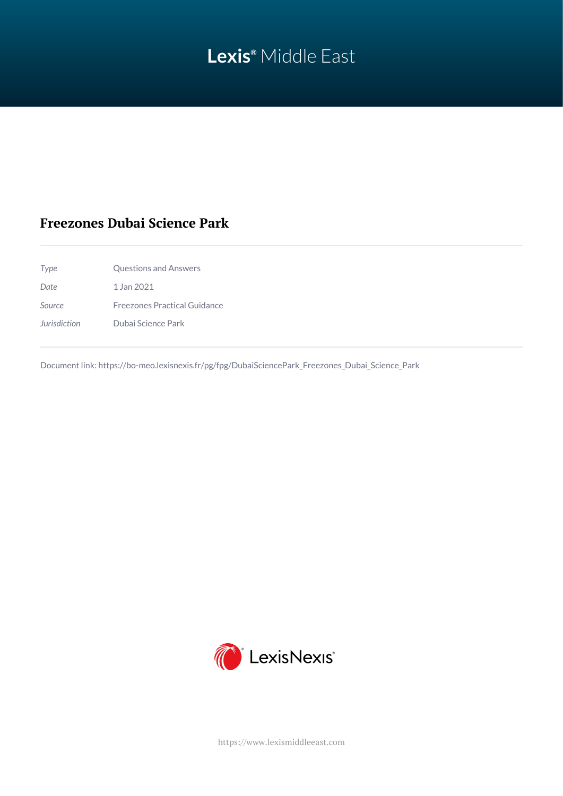# **Lexis®** Middle East

## **Freezones Dubai Science Park**

| Type                              | <b>Questions and Answers</b>        |
|-----------------------------------|-------------------------------------|
| Date                              | 1 Jan 2021                          |
| Source                            | <b>Freezones Practical Guidance</b> |
| <i><u><b>Jurisdiction</b></u></i> | Dubai Science Park                  |

Document link: [https://bo-meo.lexisnexis.fr/pg/fpg/DubaiSciencePark\\_Freezones\\_Dubai\\_Science\\_Park](https://bo-meo.lexisnexis.fr/pg/fpg/DubaiSciencePark_Freezones_Dubai_Science_Park)



<https://www.lexismiddleeast.com>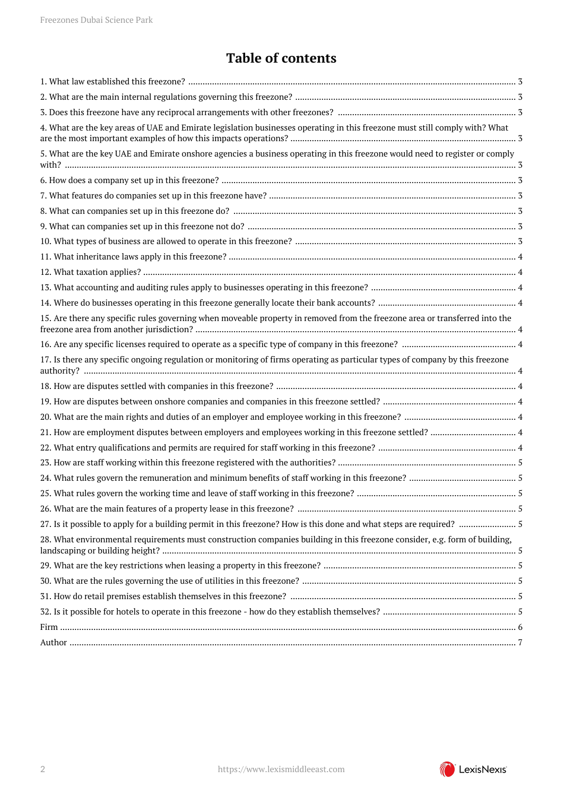## **Table of contents**

| 4. What are the key areas of UAE and Emirate legislation businesses operating in this freezone must still comply with? What   |  |
|-------------------------------------------------------------------------------------------------------------------------------|--|
| 5. What are the key UAE and Emirate onshore agencies a business operating in this freezone would need to register or comply   |  |
|                                                                                                                               |  |
|                                                                                                                               |  |
|                                                                                                                               |  |
|                                                                                                                               |  |
|                                                                                                                               |  |
|                                                                                                                               |  |
|                                                                                                                               |  |
|                                                                                                                               |  |
|                                                                                                                               |  |
| 15. Are there any specific rules governing when moveable property in removed from the freezone area or transferred into the   |  |
|                                                                                                                               |  |
| 17. Is there any specific ongoing regulation or monitoring of firms operating as particular types of company by this freezone |  |
|                                                                                                                               |  |
|                                                                                                                               |  |
|                                                                                                                               |  |
|                                                                                                                               |  |
|                                                                                                                               |  |
|                                                                                                                               |  |
|                                                                                                                               |  |
|                                                                                                                               |  |
|                                                                                                                               |  |
| 27. Is it possible to apply for a building permit in this freezone? How is this done and what steps are required?  5          |  |
| 28. What environmental requirements must construction companies building in this freezone consider, e.g. form of building,    |  |
|                                                                                                                               |  |
|                                                                                                                               |  |
|                                                                                                                               |  |
|                                                                                                                               |  |
|                                                                                                                               |  |
|                                                                                                                               |  |
|                                                                                                                               |  |

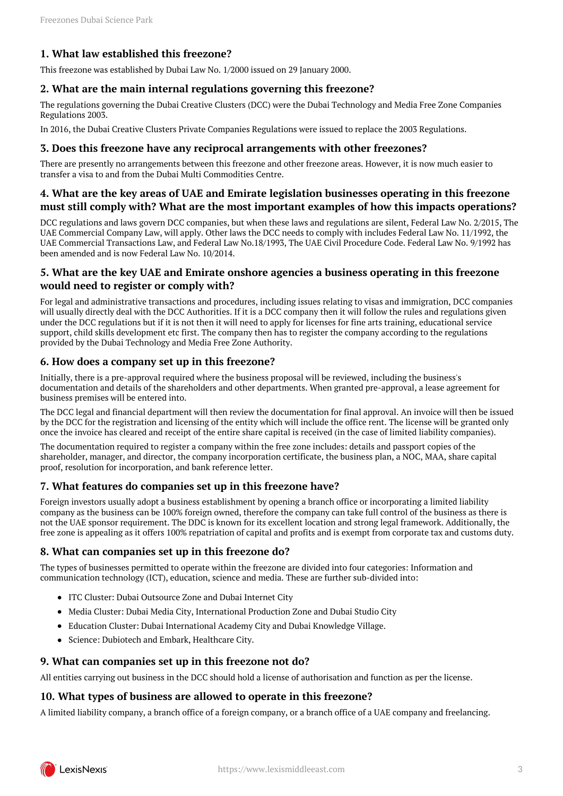## <span id="page-2-0"></span>**1. What law established this freezone?**

This freezone was established by Dubai Law No. 1/2000 issued on 29 January 2000.

#### <span id="page-2-1"></span>**2. What are the main internal regulations governing this freezone?**

The regulations governing the Dubai Creative Clusters (DCC) were the Dubai Technology and Media Free Zone Companies Regulations 2003.

In 2016, the Dubai Creative Clusters Private Companies Regulations were issued to replace the 2003 Regulations.

#### <span id="page-2-2"></span>**3. Does this freezone have any reciprocal arrangements with other freezones?**

There are presently no arrangements between this freezone and other freezone areas. However, it is now much easier to transfer a visa to and from the Dubai Multi Commodities Centre.

#### <span id="page-2-3"></span>**4. What are the key areas of UAE and Emirate legislation businesses operating in this freezone must still comply with? What are the most important examples of how this impacts operations?**

DCC regulations and laws govern DCC companies, but when these laws and regulations are silent, Federal Law No. 2/2015, The UAE Commercial Company Law, will apply. Other laws the DCC needs to comply with includes Federal Law No. 11/1992, the UAE Commercial Transactions Law, and Federal Law No.18/1993, The UAE Civil Procedure Code. Federal Law No. 9/1992 has been amended and is now Federal Law No. 10/2014.

## <span id="page-2-4"></span>**5. What are the key UAE and Emirate onshore agencies a business operating in this freezone would need to register or comply with?**

For legal and administrative transactions and procedures, including issues relating to visas and immigration, DCC companies will usually directly deal with the DCC Authorities. If it is a DCC company then it will follow the rules and regulations given under the DCC regulations but if it is not then it will need to apply for licenses for fine arts training, educational service support, child skills development etc first. The company then has to register the company according to the regulations provided by the Dubai Technology and Media Free Zone Authority.

#### <span id="page-2-5"></span>**6. How does a company set up in this freezone?**

Initially, there is a pre-approval required where the business proposal will be reviewed, including the business's documentation and details of the shareholders and other departments. When granted pre-approval, a lease agreement for business premises will be entered into.

The DCC legal and financial department will then review the documentation for final approval. An invoice will then be issued by the DCC for the registration and licensing of the entity which will include the office rent. The license will be granted only once the invoice has cleared and receipt of the entire share capital is received (in the case of limited liability companies).

The documentation required to register a company within the free zone includes: details and passport copies of the shareholder, manager, and director, the company incorporation certificate, the business plan, a NOC, MAA, share capital proof, resolution for incorporation, and bank reference letter.

#### <span id="page-2-6"></span>**7. What features do companies set up in this freezone have?**

Foreign investors usually adopt a business establishment by opening a branch office or incorporating a limited liability company as the business can be 100% foreign owned, therefore the company can take full control of the business as there is not the UAE sponsor requirement. The DDC is known for its excellent location and strong legal framework. Additionally, the free zone is appealing as it offers 100% repatriation of capital and profits and is exempt from corporate tax and customs duty.

#### <span id="page-2-7"></span>**8. What can companies set up in this freezone do?**

The types of businesses permitted to operate within the freezone are divided into four categories: Information and communication technology (ICT), education, science and media. These are further sub-divided into:

- ITC Cluster: Dubai Outsource Zone and Dubai Internet City
- Media Cluster: Dubai Media City, International Production Zone and Dubai Studio City
- Education Cluster: Dubai International Academy City and Dubai Knowledge Village.
- Science: Dubiotech and Embark, Healthcare City.

#### <span id="page-2-8"></span>**9. What can companies set up in this freezone not do?**

All entities carrying out business in the DCC should hold a license of authorisation and function as per the license.

#### <span id="page-2-9"></span>**10. What types of business are allowed to operate in this freezone?**

A limited liability company, a branch office of a foreign company, or a branch office of a UAE company and freelancing.

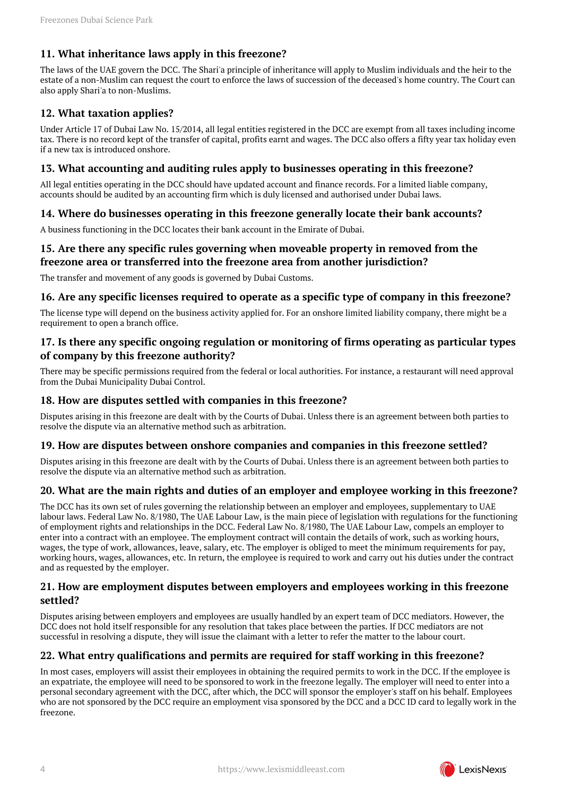## <span id="page-3-0"></span>**11. What inheritance laws apply in this freezone?**

The laws of the UAE govern the DCC. The Shari'a principle of inheritance will apply to Muslim individuals and the heir to the estate of a non-Muslim can request the court to enforce the laws of succession of the deceased's home country. The Court can also apply Shari'a to non-Muslims.

## <span id="page-3-1"></span>**12. What taxation applies?**

Under Article 17 of Dubai Law No. 15/2014, all legal entities registered in the DCC are exempt from all taxes including income tax. There is no record kept of the transfer of capital, profits earnt and wages. The DCC also offers a fifty year tax holiday even if a new tax is introduced onshore.

#### <span id="page-3-2"></span>**13. What accounting and auditing rules apply to businesses operating in this freezone?**

All legal entities operating in the DCC should have updated account and finance records. For a limited liable company, accounts should be audited by an accounting firm which is duly licensed and authorised under Dubai laws.

## <span id="page-3-3"></span>**14. Where do businesses operating in this freezone generally locate their bank accounts?**

A business functioning in the DCC locates their bank account in the Emirate of Dubai.

## <span id="page-3-4"></span>**15. Are there any specific rules governing when moveable property in removed from the freezone area or transferred into the freezone area from another jurisdiction?**

The transfer and movement of any goods is governed by Dubai Customs.

#### <span id="page-3-5"></span>**16. Are any specific licenses required to operate as a specific type of company in this freezone?**

The license type will depend on the business activity applied for. For an onshore limited liability company, there might be a requirement to open a branch office.

## <span id="page-3-6"></span>**17. Is there any specific ongoing regulation or monitoring of firms operating as particular types of company by this freezone authority?**

There may be specific permissions required from the federal or local authorities. For instance, a restaurant will need approval from the Dubai Municipality Dubai Control.

## <span id="page-3-7"></span>**18. How are disputes settled with companies in this freezone?**

Disputes arising in this freezone are dealt with by the Courts of Dubai. Unless there is an agreement between both parties to resolve the dispute via an alternative method such as arbitration.

## <span id="page-3-8"></span>**19. How are disputes between onshore companies and companies in this freezone settled?**

Disputes arising in this freezone are dealt with by the Courts of Dubai. Unless there is an agreement between both parties to resolve the dispute via an alternative method such as arbitration.

## <span id="page-3-9"></span>**20. What are the main rights and duties of an employer and employee working in this freezone?**

The DCC has its own set of rules governing the relationship between an employer and employees, supplementary to UAE labour laws. Federal Law No. 8/1980, The UAE Labour Law, is the main piece of legislation with regulations for the functioning of employment rights and relationships in the DCC. Federal Law No. 8/1980, The UAE Labour Law, compels an employer to enter into a contract with an employee. The employment contract will contain the details of work, such as working hours, wages, the type of work, allowances, leave, salary, etc. The employer is obliged to meet the minimum requirements for pay, working hours, wages, allowances, etc. In return, the employee is required to work and carry out his duties under the contract and as requested by the employer.

#### <span id="page-3-10"></span>**21. How are employment disputes between employers and employees working in this freezone settled?**

Disputes arising between employers and employees are usually handled by an expert team of DCC mediators. However, the DCC does not hold itself responsible for any resolution that takes place between the parties. If DCC mediators are not successful in resolving a dispute, they will issue the claimant with a letter to refer the matter to the labour court.

## <span id="page-3-11"></span>**22. What entry qualifications and permits are required for staff working in this freezone?**

In most cases, employers will assist their employees in obtaining the required permits to work in the DCC. If the employee is an expatriate, the employee will need to be sponsored to work in the freezone legally. The employer will need to enter into a personal secondary agreement with the DCC, after which, the DCC will sponsor the employer's staff on his behalf. Employees who are not sponsored by the DCC require an employment visa sponsored by the DCC and a DCC ID card to legally work in the freezone.

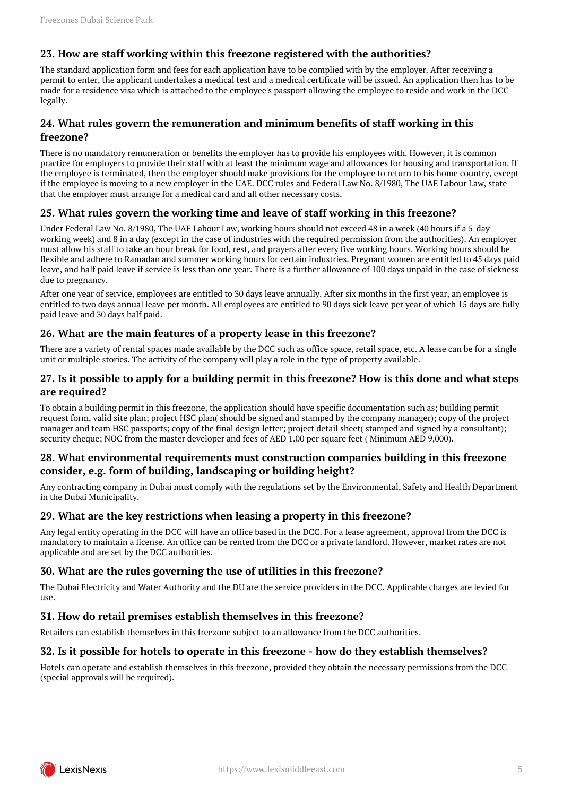## <span id="page-4-0"></span>**23. How are staff working within this freezone registered with the authorities?**

The standard application form and fees for each application have to be complied with by the employer. After receiving a permit to enter, the applicant undertakes a medical test and a medical certificate will be issued. An application then has to be made for a residence visa which is attached to the employee's passport allowing the employee to reside and work in the DCC legally.

## <span id="page-4-1"></span>**24. What rules govern the remuneration and minimum benefits of staff working in this freezone?**

There is no mandatory remuneration or benefits the employer has to provide his employees with. However, it is common practice for employers to provide their staff with at least the minimum wage and allowances for housing and transportation. If the employee is terminated, then the employer should make provisions for the employee to return to his home country, except if the employee is moving to a new employer in the UAE. DCC rules and Federal Law No. 8/1980, The UAE Labour Law, state that the employer must arrange for a medical card and all other necessary costs.

## <span id="page-4-2"></span>**25. What rules govern the working time and leave of staff working in this freezone?**

Under Federal Law No. 8/1980, The UAE Labour Law, working hours should not exceed 48 in a week (40 hours if a 5-day working week) and 8 in a day (except in the case of industries with the required permission from the authorities). An employer must allow his staff to take an hour break for food, rest, and prayers after every five working hours. Working hours should be flexible and adhere to Ramadan and summer working hours for certain industries. Pregnant women are entitled to 45 days paid leave, and half paid leave if service is less than one year. There is a further allowance of 100 days unpaid in the case of sickness due to pregnancy.

After one year of service, employees are entitled to 30 days leave annually. After six months in the first year, an employee is entitled to two days annual leave per month. All employees are entitled to 90 days sick leave per year of which 15 days are fully paid leave and 30 days half paid.

## <span id="page-4-3"></span>**26. What are the main features of a property lease in this freezone?**

There are a variety of rental spaces made available by the DCC such as office space, retail space, etc. A lease can be for a single unit or multiple stories. The activity of the company will play a role in the type of property available.

#### <span id="page-4-4"></span>**27. Is it possible to apply for a building permit in this freezone? How is this done and what steps are required?**

To obtain a building permit in this freezone, the application should have specific documentation such as; building permit request form, valid site plan; project HSC plan( should be signed and stamped by the company manager); copy of the project manager and team HSC passports; copy of the final design letter; project detail sheet( stamped and signed by a consultant); security cheque; NOC from the master developer and fees of AED 1.00 per square feet ( Minimum AED 9,000).

#### <span id="page-4-5"></span>**28. What environmental requirements must construction companies building in this freezone consider, e.g. form of building, landscaping or building height?**

Any contracting company in Dubai must comply with the regulations set by the Environmental, Safety and Health Department in the Dubai Municipality.

#### <span id="page-4-6"></span>**29. What are the key restrictions when leasing a property in this freezone?**

Any legal entity operating in the DCC will have an office based in the DCC. For a lease agreement, approval from the DCC is mandatory to maintain a license. An office can be rented from the DCC or a private landlord. However, market rates are not applicable and are set by the DCC authorities.

## <span id="page-4-7"></span>**30. What are the rules governing the use of utilities in this freezone?**

The Dubai Electricity and Water Authority and the DU are the service providers in the DCC. Applicable charges are levied for use.

#### <span id="page-4-8"></span>**31. How do retail premises establish themselves in this freezone?**

Retailers can establish themselves in this freezone subject to an allowance from the DCC authorities.

#### <span id="page-4-9"></span>**32. Is it possible for hotels to operate in this freezone - how do they establish themselves?**

Hotels can operate and establish themselves in this freezone, provided they obtain the necessary permissions from the DCC (special approvals will be required).

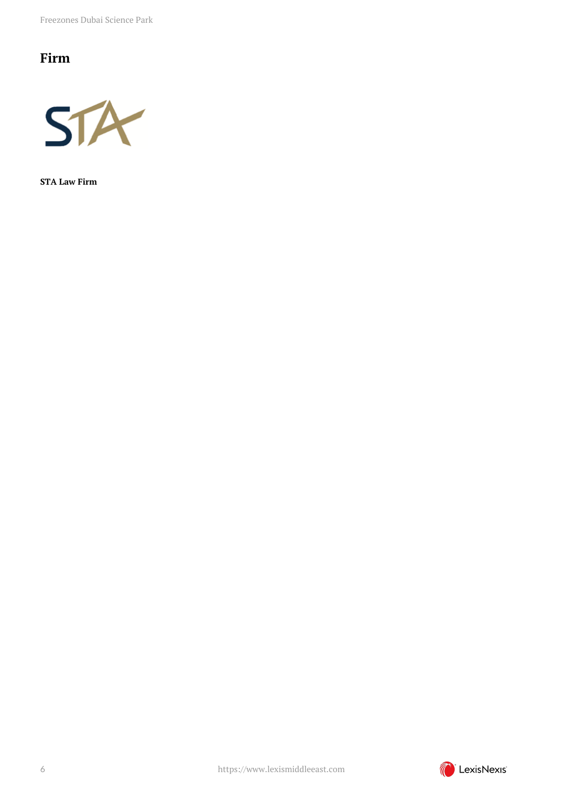Freezones Dubai Science Park

## <span id="page-5-0"></span>**Firm**



**STA Law Firm**